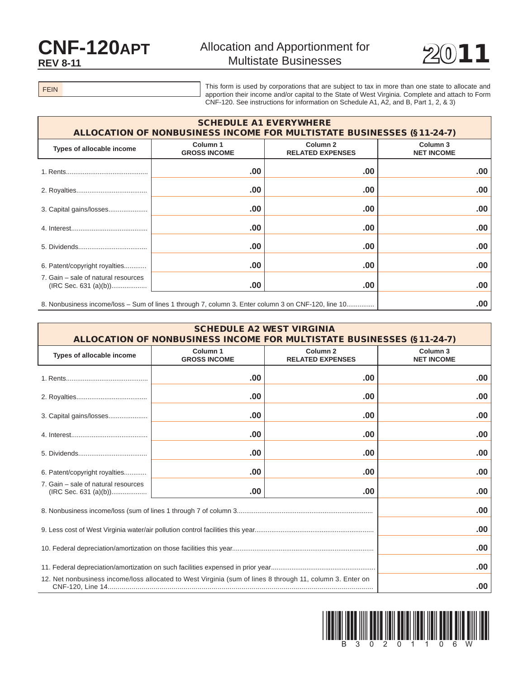## CNF-120APT **REV 8-11**



FEIN

This form is used by corporations that are subject to tax in more than one state to allocate and apportion their income and/or capital to the State of West Virginia. Complete and attach to Form CNF-120. See instructions for information on Schedule A1, A2, and B, Part 1, 2, & 3)

| <b>SCHEDULE A1 EVERYWHERE</b><br><b>ALLOCATION OF NONBUSINESS INCOME FOR MULTISTATE BUSINESSES (§11-24-7)</b> |                                 |                                                |                                          |  |  |
|---------------------------------------------------------------------------------------------------------------|---------------------------------|------------------------------------------------|------------------------------------------|--|--|
| Types of allocable income                                                                                     | Column 1<br><b>GROSS INCOME</b> | Column <sub>2</sub><br><b>RELATED EXPENSES</b> | Column <sub>3</sub><br><b>NET INCOME</b> |  |  |
|                                                                                                               | .00                             | .00                                            | .00.                                     |  |  |
|                                                                                                               | .00                             | .00                                            | .00.                                     |  |  |
|                                                                                                               | .00                             | .00                                            | .00.                                     |  |  |
|                                                                                                               | .00                             | .00                                            | .00.                                     |  |  |
|                                                                                                               | .00                             | .00                                            | .00.                                     |  |  |
| 6. Patent/copyright royalties                                                                                 | .00                             | .00                                            | .00.                                     |  |  |
| 7. Gain - sale of natural resources                                                                           | .00                             | .00                                            | .00.                                     |  |  |
| 8. Nonbusiness income/loss – Sum of lines 1 through 7, column 3. Enter column 3 on CNF-120, line 10           |                                 |                                                | .00                                      |  |  |

| <b>SCHEDULE A2 WEST VIRGINIA</b><br>ALLOCATION OF NONBUSINESS INCOME FOR MULTISTATE BUSINESSES (§11-24-7) |                                            |                                                |                                          |  |  |
|-----------------------------------------------------------------------------------------------------------|--------------------------------------------|------------------------------------------------|------------------------------------------|--|--|
| Types of allocable income                                                                                 | Column <sub>1</sub><br><b>GROSS INCOME</b> | Column <sub>2</sub><br><b>RELATED EXPENSES</b> | Column <sub>3</sub><br><b>NET INCOME</b> |  |  |
|                                                                                                           | .00                                        | .00                                            | .00                                      |  |  |
|                                                                                                           | .00                                        | .00                                            | .00                                      |  |  |
| 3. Capital gains/losses                                                                                   | .00                                        | .00                                            | .00                                      |  |  |
|                                                                                                           | .00.                                       | .00                                            | .00                                      |  |  |
|                                                                                                           | .00                                        | .00                                            | .00                                      |  |  |
| 6. Patent/copyright royalties                                                                             | .00                                        | .00                                            | .00                                      |  |  |
| 7. Gain – sale of natural resources                                                                       | .00.                                       | .00                                            | .00                                      |  |  |
|                                                                                                           |                                            |                                                | .00                                      |  |  |
|                                                                                                           |                                            |                                                | .00                                      |  |  |
|                                                                                                           |                                            |                                                | .00                                      |  |  |
|                                                                                                           |                                            |                                                | .00                                      |  |  |
| 12. Net nonbusiness income/loss allocated to West Virginia (sum of lines 8 through 11, column 3. Enter on |                                            |                                                |                                          |  |  |